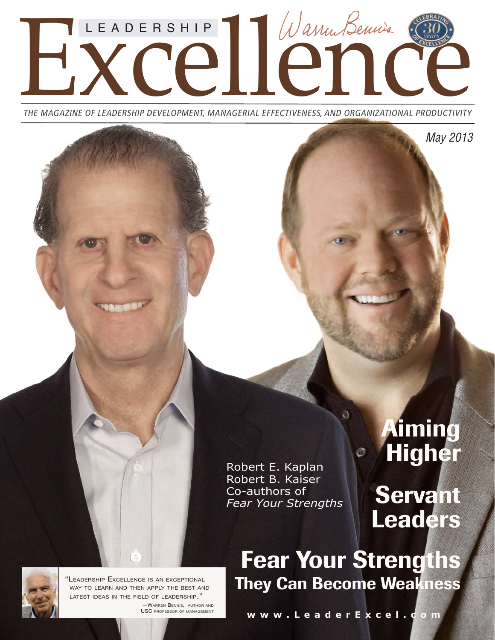

THE MAGAZINE OF LEADERSHIP DEVELOPMENT, MANAGERIAL EFFECTIVENESS, AND ORGANIZATIONAL PRODUCTIVITY

Robert E. Kaplan Robert B. Kaiser Co-authors of *Fear Your Strengths*

# **Aiming** Higher

May 2013

Servant Leaders

Fear Your Strengths They Can Become Weakness

a

"LEADERSHIP EXCELLENCE IS AN EXCEPTIONAL WAY TO LEARN AND THEN APPLY THE BEST AND LATEST IDEAS IN THE FIELD OF LEADERSHIP."

—WARREN BENNIS, AUTHOR AND USC PROFESSOR OF MANAGEMENT

**www.LeaderExcel.com**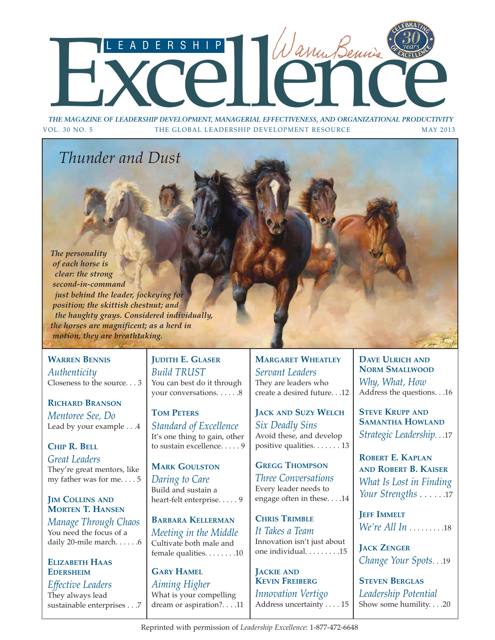# THE MAGAZINE OF LEADERSHIP DEVELOPMENT, MANAGERIAL EFFECTIVENESS, AND ORGANIZATIONAL PRODUCTIVIT<br>OL. 30 NO. 5 THE GLOBAL LEADERSHIP DEVELOPMENT RESOURCE

*THE MAGAZINE OF LEADERSHIP DEVELOPMENT, MANAGERIAL EFFECTIVENESS, AND ORGANIZATIONAL PRODUCTIVITY* VOL. 30 NO. 5 THE GLOBAL LEADERSHIP DEVELOPMENT RESOURCE MAY 2013

## *Thunder and Dust*

*The personality of each horse is clear: the strong second-in-command just behind the leader, jockeying for position; the skittish chestnut; and the haughty grays. Considered individually, the horses are magnificent; as a herd in motion, they are breathtaking.*

### **WARREN BENNIS**

*Authenticity* Closeness to the source. . . 3

### **RICHARD BRANSON**

*Mentoree See, Do* Lead by your example . . .4

**CHIP R. BELL** *Great Leaders* They're great mentors, like my father was for me. . . . 5

### **JIM COLLINS AND MORTEN T. HANSEN**

*Manage Through Chaos* You need the focus of a daily 20-mile march. . . . . . 6

### **ELIZABETH HAAS EDERSHEIM**

*Effective Leaders* They always lead sustainable enterprises . . .7 **JUDITH E. GLASER** *Build TRUST* You can best do it through your conversations. . . . . . 8

**TOM PETERS** *Standard of Excellence* It's one thing to gain, other to sustain excellence. . . . . 9

**MARK GOULSTON** *Daring to Care* Build and sustain a heart-felt enterprise. . . . . 9

**BARBARA KELLERMAN** *Meeting in the Middle* Cultivate both male and female qualities. . . . . . . .10

**GARY HAMEL** *Aiming Higher* What is your compelling dream or aspiration?. . . .11 **MARGARET WHEATLEY** *Servant Leaders* They are leaders who create a desired future. . .12

**JACK AND SUZY WELCH** *Six Deadly Sins* Avoid these, and develop positive qualities. . . . . . . 13

### **GREGG THOMPSON**

*Three Conversations* Every leader needs to engage often in these. . . .14

**CHRIS TRIMBLE** *It Takes a Team* Innovation isn't just about one individual. . . . . . . . .15

**JACKIE AND KEVIN FREIBERG** *Innovation Vertigo* Address uncertainty . . . . 15 **DAVE ULRICH AND NORM SMALLWOOD** *Why, What, How* Address the questions. . .16

**STEVE KRUPP AND SAMANTHA HOWLAND** *Strategic Leadership*. . .17

**ROBERT E. KAPLAN AND ROBERT B. KAISER** *What Is Lost in Finding Your Strengths . . . .* . .17

**JEFF IMMELT** *We're All In* . . . . . . . . .18

**JACK ZENGER** *Change Your Spots*. . .19

**STEVEN BERGLAS** *Leadership Potential* Show some humility. . . .20